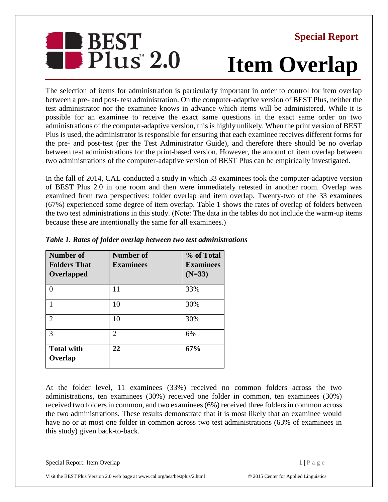

## **Special Report**

## **Item Overlap**

The selection of items for administration is particularly important in order to control for item overlap between a pre- and post- test administration. On the computer-adaptive version of BEST Plus, neither the test administrator nor the examinee knows in advance which items will be administered. While it is possible for an examinee to receive the exact same questions in the exact same order on two administrations of the computer-adaptive version, this is highly unlikely. When the print version of BEST Plus is used, the administrator is responsible for ensuring that each examinee receives different forms for the pre- and post-test (per the Test Administrator Guide), and therefore there should be no overlap between test administrations for the print-based version. However, the amount of item overlap between two administrations of the computer-adaptive version of BEST Plus can be empirically investigated.

In the fall of 2014, CAL conducted a study in which 33 examinees took the computer-adaptive version of BEST Plus 2.0 in one room and then were immediately retested in another room. Overlap was examined from two perspectives: folder overlap and item overlap. Twenty-two of the 33 examinees (67%) experienced some degree of item overlap. Table 1 shows the rates of overlap of folders between the two test administrations in this study. (Note: The data in the tables do not include the warm-up items because these are intentionally the same for all examinees.)

| <b>Number of</b><br><b>Folders That</b><br>Overlapped | Number of<br><b>Examinees</b> | % of Total<br><b>Examinees</b><br>$(N=33)$ |
|-------------------------------------------------------|-------------------------------|--------------------------------------------|
| $\Omega$                                              | 11                            | 33%                                        |
|                                                       | 10                            | 30%                                        |
| $\overline{2}$                                        | 10                            | 30%                                        |
| 3                                                     | $\mathfrak{D}$                | 6%                                         |
| <b>Total with</b><br>Overlap                          | 22                            | 67%                                        |

## *Table 1. Rates of folder overlap between two test administrations*

At the folder level, 11 examinees (33%) received no common folders across the two administrations, ten examinees (30%) received one folder in common, ten examinees (30%) received two folders in common, and two examinees (6%) received three folders in common across the two administrations. These results demonstrate that it is most likely that an examinee would have no or at most one folder in common across two test administrations (63% of examinees in this study) given back-to-back.

Special Report: Item Overlap 1 | P a g e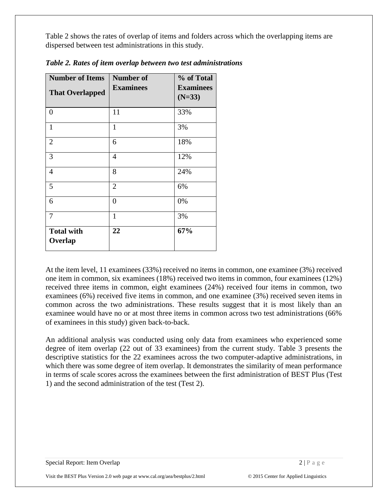Table 2 shows the rates of overlap of items and folders across which the overlapping items are dispersed between test administrations in this study.

| <b>Number of Items</b><br><b>That Overlapped</b> | <b>Number of</b><br><b>Examinees</b> | % of Total<br><b>Examinees</b><br>$(N=33)$ |
|--------------------------------------------------|--------------------------------------|--------------------------------------------|
| $\overline{0}$                                   | 11                                   | 33%                                        |
| $\mathbf{1}$                                     | 1                                    | 3%                                         |
| $\overline{2}$                                   | 6                                    | 18%                                        |
| 3                                                | $\overline{4}$                       | 12%                                        |
| $\overline{4}$                                   | 8                                    | 24%                                        |
| 5                                                | $\overline{2}$                       | 6%                                         |
| 6                                                | $\overline{0}$                       | 0%                                         |
| 7                                                | $\mathbf{1}$                         | 3%                                         |
| <b>Total with</b><br>Overlap                     | 22                                   | 67%                                        |

*Table 2. Rates of item overlap between two test administrations*

At the item level, 11 examinees (33%) received no items in common, one examinee (3%) received one item in common, six examinees (18%) received two items in common, four examinees (12%) received three items in common, eight examinees (24%) received four items in common, two examinees (6%) received five items in common, and one examinee (3%) received seven items in common across the two administrations. These results suggest that it is most likely than an examinee would have no or at most three items in common across two test administrations (66% of examinees in this study) given back-to-back.

An additional analysis was conducted using only data from examinees who experienced some degree of item overlap (22 out of 33 examinees) from the current study. Table 3 presents the descriptive statistics for the 22 examinees across the two computer-adaptive administrations, in which there was some degree of item overlap. It demonstrates the similarity of mean performance in terms of scale scores across the examinees between the first administration of BEST Plus (Test 1) and the second administration of the test (Test 2).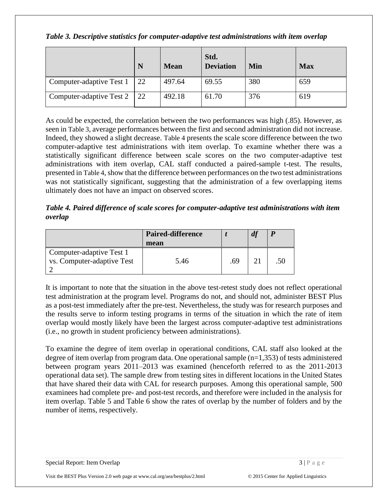*Table 3. Descriptive statistics for computer-adaptive test administrations with item overlap*

|                          | N  | <b>Mean</b> | Std.<br><b>Deviation</b> | Min | <b>Max</b> |
|--------------------------|----|-------------|--------------------------|-----|------------|
| Computer-adaptive Test 1 | 22 | 497.64      | 69.55                    | 380 | 659        |
| Computer-adaptive Test 2 | 22 | 492.18      | 61.70                    | 376 | 619        |

As could be expected, the correlation between the two performances was high (.85). However, as seen in Table 3, average performances between the first and second administration did not increase. Indeed, they showed a slight decrease. Table 4 presents the scale score difference between the two computer-adaptive test administrations with item overlap. To examine whether there was a statistically significant difference between scale scores on the two computer-adaptive test administrations with item overlap, CAL staff conducted a paired-sample t-test. The results, presented in Table 4, show that the difference between performances on the two test administrations was not statistically significant, suggesting that the administration of a few overlapping items ultimately does not have an impact on observed scores.

*Table 4. Paired difference of scale scores for computer-adaptive test administrations with item overlap*

|                            | <b>Paired-difference</b> |    | $\boldsymbol{d'}$ |  |
|----------------------------|--------------------------|----|-------------------|--|
|                            | mean                     |    |                   |  |
| Computer-adaptive Test 1   |                          |    |                   |  |
| vs. Computer-adaptive Test | 5.46                     | 69 |                   |  |
|                            |                          |    |                   |  |

It is important to note that the situation in the above test-retest study does not reflect operational test administration at the program level. Programs do not, and should not, administer BEST Plus as a post-test immediately after the pre-test. Nevertheless, the study was for research purposes and the results serve to inform testing programs in terms of the situation in which the rate of item overlap would mostly likely have been the largest across computer-adaptive test administrations (i.e., no growth in student proficiency between administrations).

To examine the degree of item overlap in operational conditions, CAL staff also looked at the degree of item overlap from program data. One operational sample (n=1,353) of tests administered between program years 2011–2013 was examined (henceforth referred to as the 2011-2013 operational data set). The sample drew from testing sites in different locations in the United States that have shared their data with CAL for research purposes. Among this operational sample, 500 examinees had complete pre- and post-test records, and therefore were included in the analysis for item overlap. Table 5 and Table 6 show the rates of overlap by the number of folders and by the number of items, respectively.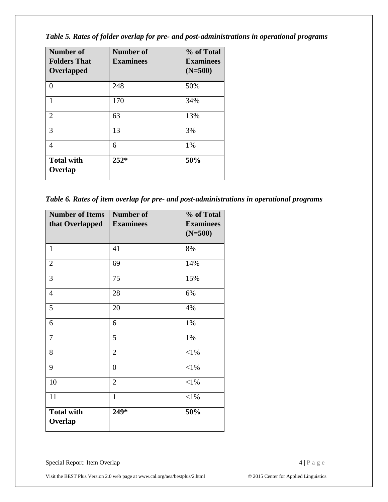*Table 5. Rates of folder overlap for pre- and post-administrations in operational programs*

| Number of<br><b>Folders That</b><br>Overlapped | <b>Number of</b><br><b>Examinees</b> | % of Total<br><b>Examinees</b><br>$(N=500)$ |
|------------------------------------------------|--------------------------------------|---------------------------------------------|
| 0                                              | 248                                  | 50%                                         |
| 1                                              | 170                                  | 34%                                         |
| $\overline{2}$                                 | 63                                   | 13%                                         |
| 3                                              | 13                                   | 3%                                          |
| 4                                              | 6                                    | 1%                                          |
| <b>Total with</b><br>Overlap                   | $252*$                               | 50%                                         |

*Table 6. Rates of item overlap for pre- and post-administrations in operational programs*

| <b>Number of Items</b>       | <b>Number of</b> | % of Total       |
|------------------------------|------------------|------------------|
| that Overlapped              | <b>Examinees</b> | <b>Examinees</b> |
|                              |                  | $(N=500)$        |
| 1                            | 41               | 8%               |
| $\overline{2}$               | 69               | 14%              |
| 3                            | 75               | 15%              |
| $\overline{4}$               | 28               | 6%               |
| 5                            | 20               | 4%               |
| 6                            | 6                | 1%               |
| 7                            | 5                | 1%               |
| 8                            | $\overline{2}$   | ${<}1\%$         |
| 9                            | $\overline{0}$   | $<$ 1%           |
| 10                           | $\overline{2}$   | ${<}1\%$         |
| 11                           | $\mathbf{1}$     | $<$ 1%           |
| <b>Total with</b><br>Overlap | 249*             | 50%              |

Special Report: Item Overlap 4 | P a g e